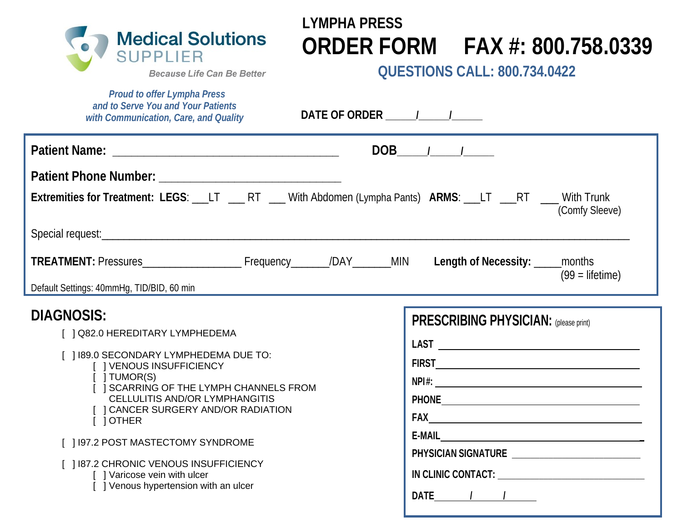

# **LYMPHA PRESS ORDER FORM FAX #: 800.758.0339**

**QUESTIONS CALL: 800.734.0422**

**Because Life Can Be Better** 

 *Proud to offer Lympha Press and to Serve You and Your Patients with Communication, Care, and Quality*

**DATE OF ORDER \_\_\_\_\_\_/\_\_\_\_\_\_/\_\_\_\_\_\_**

|                                                                                                                                                                                                                                                                                                                                                                                                                                                                                    | $DOB$ / /                                                               |
|------------------------------------------------------------------------------------------------------------------------------------------------------------------------------------------------------------------------------------------------------------------------------------------------------------------------------------------------------------------------------------------------------------------------------------------------------------------------------------|-------------------------------------------------------------------------|
| Extremities for Treatment: LEGS: ___LT ____RT ___With Abdomen (Lympha Pants) ARMS: ___LT ___RT ____With Trunk<br>TREATMENT: Pressures__________________________Frequency________/DAY________MIN Length of Necessity: _____months<br>Default Settings: 40mmHg, TID/BID, 60 min                                                                                                                                                                                                      | (Comfy Sleeve)<br>$(99 =$ lifetime)                                     |
| <b>DIAGNOSIS:</b><br>[ ] Q82.0 HEREDITARY LYMPHEDEMA<br>[ ] 189.0 SECONDARY LYMPHEDEMA DUE TO:<br>[ ] VENOUS INSUFFICIENCY<br>$\lceil$ $\lceil$ TUMOR(S)<br><b>SCARRING OF THE LYMPH CHANNELS FROM</b><br>CELLULITIS AND/OR LYMPHANGITIS<br>[ ] CANCER SURGERY AND/OR RADIATION<br>$\begin{bmatrix} 1 \end{bmatrix}$ OTHER<br>[] 197.2 POST MASTECTOMY SYNDROME<br>[ ] 187.2 CHRONIC VENOUS INSUFFICIENCY<br>[ ] Varicose vein with ulcer<br>[ ] Venous hypertension with an ulcer | <b>PRESCRIBING PHYSICIAN: (please print)</b><br>$E-MAIL$<br><b>DATE</b> |